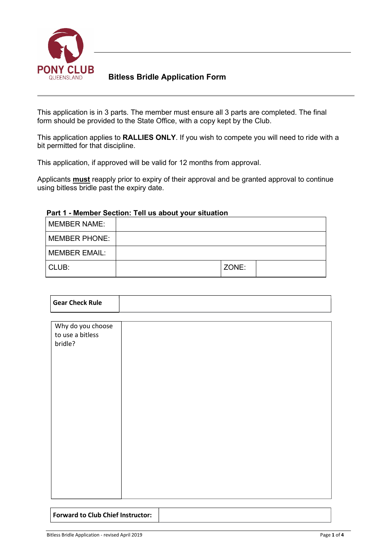

### **Bitless Bridle Application Form**

This application is in 3 parts. The member must ensure all 3 parts are completed. The final form should be provided to the State Office, with a copy kept by the Club.

This application applies to **RALLIES ONLY**. If you wish to compete you will need to ride with a bit permitted for that discipline.

This application, if approved will be valid for 12 months from approval.

Applicants **must** reapply prior to expiry of their approval and be granted approval to continue using bitless bridle past the expiry date.

| <b>MEMBER NAME:</b>  |       |  |
|----------------------|-------|--|
| <b>MEMBER PHONE:</b> |       |  |
| <b>MEMBER EMAIL:</b> |       |  |
| CLUB:                | ZONE: |  |

#### **Part 1 - Member Section: Tell us about your situation**

| <b>Gear Check Rule</b>                           |  |
|--------------------------------------------------|--|
|                                                  |  |
| Why do you choose<br>to use a bitless<br>bridle? |  |
|                                                  |  |

**Forward to Club Chief Instructor:**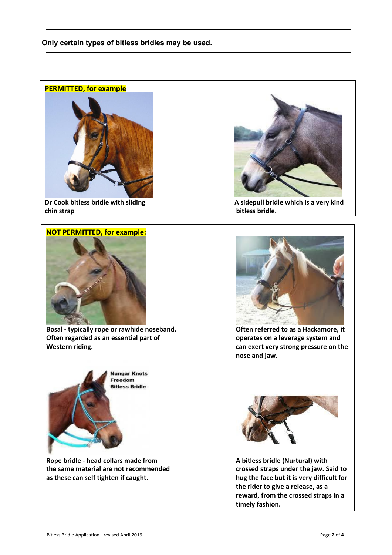



**Dr Cook bitless bridle with sliding chin strap**

## **NOT PERMITTED, for example:**



**Bosal - typically rope or rawhide noseband. Often regarded as an essential part of Western riding.**



**Rope bridle - head collars made from the same material are not recommended as these can self tighten if caught.**



**A sidepull bridle which is a very kind bitless bridle.**



**Often referred to as a Hackamore, it operates on a leverage system and can exert very strong pressure on the nose and jaw.**



**A bitless bridle (Nurtural) with crossed straps under the jaw. Said to hug the face but it is very difficult for the rider to give a release, as a reward, from the crossed straps in a timely fashion.**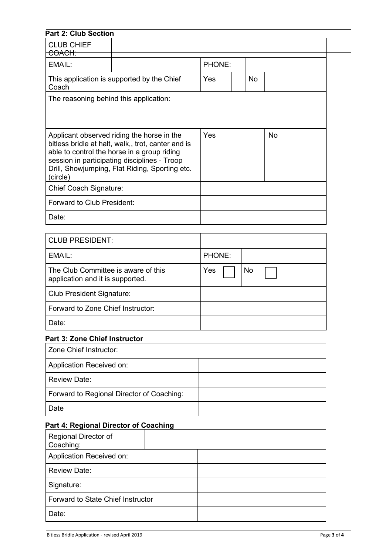| <b>Part 2: Club Section</b>                                                                                                                                                                                                                                   |                                            |        |  |           |    |
|---------------------------------------------------------------------------------------------------------------------------------------------------------------------------------------------------------------------------------------------------------------|--------------------------------------------|--------|--|-----------|----|
| <b>CLUB CHIEF</b><br>COACH:                                                                                                                                                                                                                                   |                                            |        |  |           |    |
| EMAIL:                                                                                                                                                                                                                                                        |                                            | PHONE: |  |           |    |
| Coach                                                                                                                                                                                                                                                         | This application is supported by the Chief | Yes    |  | <b>No</b> |    |
| The reasoning behind this application:                                                                                                                                                                                                                        |                                            |        |  |           |    |
|                                                                                                                                                                                                                                                               |                                            |        |  |           |    |
| Applicant observed riding the horse in the<br>bitless bridle at halt, walk,, trot, canter and is<br>able to control the horse in a group riding<br>session in participating disciplines - Troop<br>Drill, Showjumping, Flat Riding, Sporting etc.<br>(circle) |                                            | Yes    |  |           | No |
| <b>Chief Coach Signature:</b>                                                                                                                                                                                                                                 |                                            |        |  |           |    |
| Forward to Club President:                                                                                                                                                                                                                                    |                                            |        |  |           |    |
| Date:                                                                                                                                                                                                                                                         |                                            |        |  |           |    |
| <b>CLUB PRESIDENT:</b>                                                                                                                                                                                                                                        |                                            |        |  |           |    |
| EMAIL:                                                                                                                                                                                                                                                        |                                            | PHONE: |  |           |    |
| The Club Committee is aware of this<br>application and it is supported.                                                                                                                                                                                       |                                            | Yes    |  | No        |    |
| <b>Club President Signature:</b>                                                                                                                                                                                                                              |                                            |        |  |           |    |
| Forward to Zone Chief Instructor:                                                                                                                                                                                                                             |                                            |        |  |           |    |
| Date:                                                                                                                                                                                                                                                         |                                            |        |  |           |    |
| <b>Part 3: Zone Chief Instructor</b>                                                                                                                                                                                                                          |                                            |        |  |           |    |
| Zone Chief Instructor:                                                                                                                                                                                                                                        |                                            |        |  |           |    |
| Application Received on:                                                                                                                                                                                                                                      |                                            |        |  |           |    |
| <b>Review Date:</b>                                                                                                                                                                                                                                           |                                            |        |  |           |    |
|                                                                                                                                                                                                                                                               | Forward to Regional Director of Coaching:  |        |  |           |    |
|                                                                                                                                                                                                                                                               |                                            |        |  |           |    |

| Regional Director of<br>Coaching:               |             |
|-------------------------------------------------|-------------|
| Application Received on:                        |             |
| <b>Review Date:</b>                             |             |
| Signature:                                      |             |
| Forward to State Chief Instructor               |             |
| Date:                                           |             |
|                                                 |             |
| Bitless Bridle Application - revised April 2019 | Page 3 of 4 |